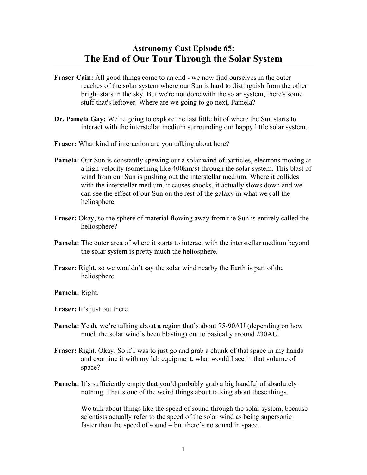## **Astronomy Cast Episode 65: The End of Our Tour Through the Solar System**

- **Fraser Cain:** All good things come to an end we now find ourselves in the outer reaches of the solar system where our Sun is hard to distinguish from the other bright stars in the sky. But we're not done with the solar system, there's some stuff that's leftover. Where are we going to go next, Pamela?
- **Dr. Pamela Gay:** We're going to explore the last little bit of where the Sun starts to interact with the interstellar medium surrounding our happy little solar system.
- **Fraser:** What kind of interaction are you talking about here?
- **Pamela:** Our Sun is constantly spewing out a solar wind of particles, electrons moving at a high velocity (something like 400km/s) through the solar system. This blast of wind from our Sun is pushing out the interstellar medium. Where it collides with the interstellar medium, it causes shocks, it actually slows down and we can see the effect of our Sun on the rest of the galaxy in what we call the heliosphere.
- **Fraser:** Okay, so the sphere of material flowing away from the Sun is entirely called the heliosphere?
- **Pamela:** The outer area of where it starts to interact with the interstellar medium beyond the solar system is pretty much the heliosphere.
- **Fraser:** Right, so we wouldn't say the solar wind nearby the Earth is part of the heliosphere.

**Pamela:** Right.

**Fraser:** It's just out there.

- **Pamela:** Yeah, we're talking about a region that's about 75-90AU (depending on how much the solar wind's been blasting) out to basically around 230AU.
- **Fraser:** Right. Okay. So if I was to just go and grab a chunk of that space in my hands and examine it with my lab equipment, what would I see in that volume of space?
- **Pamela:** It's sufficiently empty that you'd probably grab a big handful of absolutely nothing. That's one of the weird things about talking about these things.

We talk about things like the speed of sound through the solar system, because scientists actually refer to the speed of the solar wind as being supersonic – faster than the speed of sound – but there's no sound in space.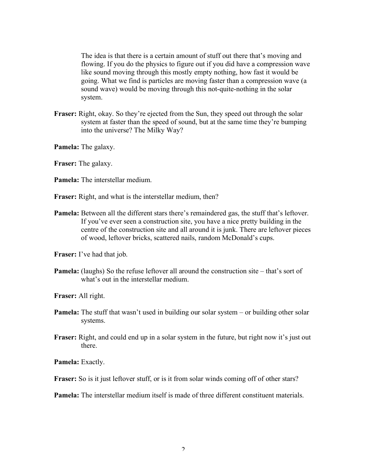The idea is that there is a certain amount of stuff out there that's moving and flowing. If you do the physics to figure out if you did have a compression wave like sound moving through this mostly empty nothing, how fast it would be going. What we find is particles are moving faster than a compression wave (a sound wave) would be moving through this not-quite-nothing in the solar system.

**Fraser:** Right, okay. So they're ejected from the Sun, they speed out through the solar system at faster than the speed of sound, but at the same time they're bumping into the universe? The Milky Way?

**Pamela:** The galaxy.

**Fraser:** The galaxy.

**Pamela:** The interstellar medium.

**Fraser:** Right, and what is the interstellar medium, then?

**Pamela:** Between all the different stars there's remaindered gas, the stuff that's leftover. If you've ever seen a construction site, you have a nice pretty building in the centre of the construction site and all around it is junk. There are leftover pieces of wood, leftover bricks, scattered nails, random McDonald's cups.

**Fraser:** I've had that job.

**Pamela:** (laughs) So the refuse leftover all around the construction site – that's sort of what's out in the interstellar medium.

**Fraser:** All right.

- **Pamela:** The stuff that wasn't used in building our solar system or building other solar systems.
- **Fraser:** Right, and could end up in a solar system in the future, but right now it's just out there.

**Pamela:** Exactly.

**Fraser:** So is it just leftover stuff, or is it from solar winds coming off of other stars?

**Pamela:** The interstellar medium itself is made of three different constituent materials.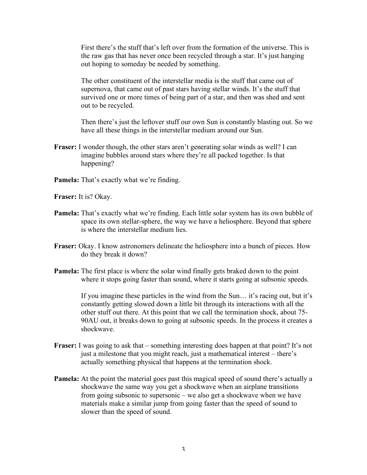First there's the stuff that's left over from the formation of the universe. This is the raw gas that has never once been recycled through a star. It's just hanging out hoping to someday be needed by something.

The other constituent of the interstellar media is the stuff that came out of supernova, that came out of past stars having stellar winds. It's the stuff that survived one or more times of being part of a star, and then was shed and sent out to be recycled.

Then there's just the leftover stuff our own Sun is constantly blasting out. So we have all these things in the interstellar medium around our Sun.

- **Fraser:** I wonder though, the other stars aren't generating solar winds as well? I can imagine bubbles around stars where they're all packed together. Is that happening?
- **Pamela:** That's exactly what we're finding.

**Fraser:** It is? Okay.

- **Pamela:** That's exactly what we're finding. Each little solar system has its own bubble of space its own stellar-sphere, the way we have a heliosphere. Beyond that sphere is where the interstellar medium lies.
- **Fraser:** Okay. I know astronomers delineate the heliosphere into a bunch of pieces. How do they break it down?
- **Pamela:** The first place is where the solar wind finally gets braked down to the point where it stops going faster than sound, where it starts going at subsonic speeds.

If you imagine these particles in the wind from the Sun… it's racing out, but it's constantly getting slowed down a little bit through its interactions with all the other stuff out there. At this point that we call the termination shock, about 75- 90AU out, it breaks down to going at subsonic speeds. In the process it creates a shockwave.

- **Fraser:** I was going to ask that something interesting does happen at that point? It's not just a milestone that you might reach, just a mathematical interest – there's actually something physical that happens at the termination shock.
- **Pamela:** At the point the material goes past this magical speed of sound there's actually a shockwave the same way you get a shockwave when an airplane transitions from going subsonic to supersonic – we also get a shockwave when we have materials make a similar jump from going faster than the speed of sound to slower than the speed of sound.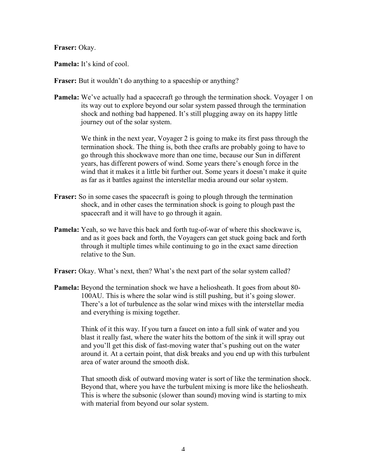**Fraser:** Okay.

**Pamela:** It's kind of cool.

**Fraser:** But it wouldn't do anything to a spaceship or anything?

**Pamela:** We've actually had a spacecraft go through the termination shock. Voyager 1 on its way out to explore beyond our solar system passed through the termination shock and nothing bad happened. It's still plugging away on its happy little journey out of the solar system.

> We think in the next year, Voyager 2 is going to make its first pass through the termination shock. The thing is, both thee crafts are probably going to have to go through this shockwave more than one time, because our Sun in different years, has different powers of wind. Some years there's enough force in the wind that it makes it a little bit further out. Some years it doesn't make it quite as far as it battles against the interstellar media around our solar system.

- **Fraser:** So in some cases the spacecraft is going to plough through the termination shock, and in other cases the termination shock is going to plough past the spacecraft and it will have to go through it again.
- **Pamela:** Yeah, so we have this back and forth tug-of-war of where this shockwave is, and as it goes back and forth, the Voyagers can get stuck going back and forth through it multiple times while continuing to go in the exact same direction relative to the Sun.
- **Fraser:** Okay. What's next, then? What's the next part of the solar system called?
- **Pamela:** Beyond the termination shock we have a heliosheath. It goes from about 80- 100AU. This is where the solar wind is still pushing, but it's going slower. There's a lot of turbulence as the solar wind mixes with the interstellar media and everything is mixing together.

Think of it this way. If you turn a faucet on into a full sink of water and you blast it really fast, where the water hits the bottom of the sink it will spray out and you'll get this disk of fast-moving water that's pushing out on the water around it. At a certain point, that disk breaks and you end up with this turbulent area of water around the smooth disk.

That smooth disk of outward moving water is sort of like the termination shock. Beyond that, where you have the turbulent mixing is more like the heliosheath. This is where the subsonic (slower than sound) moving wind is starting to mix with material from beyond our solar system.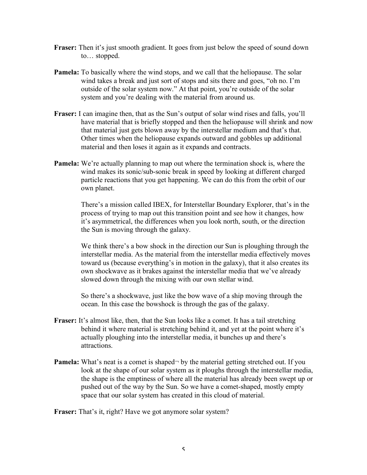- **Fraser:** Then it's just smooth gradient. It goes from just below the speed of sound down to… stopped.
- **Pamela:** To basically where the wind stops, and we call that the heliopause. The solar wind takes a break and just sort of stops and sits there and goes, "oh no. I'm outside of the solar system now." At that point, you're outside of the solar system and you're dealing with the material from around us.
- **Fraser:** I can imagine then, that as the Sun's output of solar wind rises and falls, you'll have material that is briefly stopped and then the heliopause will shrink and now that material just gets blown away by the interstellar medium and that's that. Other times when the heliopause expands outward and gobbles up additional material and then loses it again as it expands and contracts.
- **Pamela:** We're actually planning to map out where the termination shock is, where the wind makes its sonic/sub-sonic break in speed by looking at different charged particle reactions that you get happening. We can do this from the orbit of our own planet.

There's a mission called IBEX, for Interstellar Boundary Explorer, that's in the process of trying to map out this transition point and see how it changes, how it's asymmetrical, the differences when you look north, south, or the direction the Sun is moving through the galaxy.

We think there's a bow shock in the direction our Sun is ploughing through the interstellar media. As the material from the interstellar media effectively moves toward us (because everything's in motion in the galaxy), that it also creates its own shockwave as it brakes against the interstellar media that we've already slowed down through the mixing with our own stellar wind.

So there's a shockwave, just like the bow wave of a ship moving through the ocean. In this case the bowshock is through the gas of the galaxy.

- **Fraser:** It's almost like, then, that the Sun looks like a comet. It has a tail stretching behind it where material is stretching behind it, and yet at the point where it's actually ploughing into the interstellar media, it bunches up and there's attractions.
- **Pamela:** What's neat is a comet is shaped by the material getting stretched out. If you look at the shape of our solar system as it ploughs through the interstellar media, the shape is the emptiness of where all the material has already been swept up or pushed out of the way by the Sun. So we have a comet-shaped, mostly empty space that our solar system has created in this cloud of material.

**Fraser:** That's it, right? Have we got anymore solar system?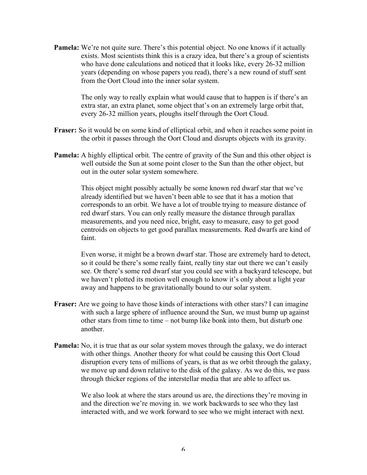**Pamela:** We're not quite sure. There's this potential object. No one knows if it actually exists. Most scientists think this is a crazy idea, but there's a group of scientists who have done calculations and noticed that it looks like, every 26-32 million years (depending on whose papers you read), there's a new round of stuff sent from the Oort Cloud into the inner solar system.

> The only way to really explain what would cause that to happen is if there's an extra star, an extra planet, some object that's on an extremely large orbit that, every 26-32 million years, ploughs itself through the Oort Cloud.

- **Fraser:** So it would be on some kind of elliptical orbit, and when it reaches some point in the orbit it passes through the Oort Cloud and disrupts objects with its gravity.
- **Pamela:** A highly elliptical orbit. The centre of gravity of the Sun and this other object is well outside the Sun at some point closer to the Sun than the other object, but out in the outer solar system somewhere.

This object might possibly actually be some known red dwarf star that we've already identified but we haven't been able to see that it has a motion that corresponds to an orbit. We have a lot of trouble trying to measure distance of red dwarf stars. You can only really measure the distance through parallax measurements, and you need nice, bright, easy to measure, easy to get good centroids on objects to get good parallax measurements. Red dwarfs are kind of faint.

Even worse, it might be a brown dwarf star. Those are extremely hard to detect, so it could be there's some really faint, really tiny star out there we can't easily see. Or there's some red dwarf star you could see with a backyard telescope, but we haven't plotted its motion well enough to know it's only about a light year away and happens to be gravitationally bound to our solar system.

- **Fraser:** Are we going to have those kinds of interactions with other stars? I can imagine with such a large sphere of influence around the Sun, we must bump up against other stars from time to time – not bump like bonk into them, but disturb one another.
- **Pamela:** No, it is true that as our solar system moves through the galaxy, we do interact with other things. Another theory for what could be causing this Oort Cloud disruption every tens of millions of years, is that as we orbit through the galaxy, we move up and down relative to the disk of the galaxy. As we do this, we pass through thicker regions of the interstellar media that are able to affect us.

We also look at where the stars around us are, the directions they're moving in and the direction we're moving in. we work backwards to see who they last interacted with, and we work forward to see who we might interact with next.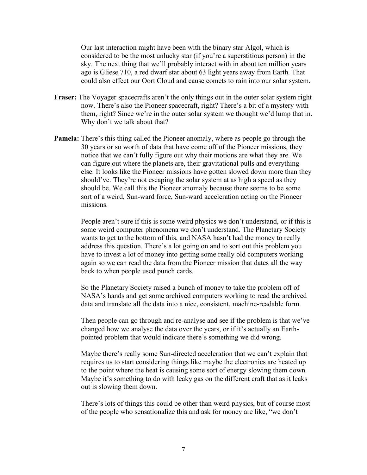Our last interaction might have been with the binary star Algol, which is considered to be the most unlucky star (if you're a superstitious person) in the sky. The next thing that we'll probably interact with in about ten million years ago is Gliese 710, a red dwarf star about 63 light years away from Earth. That could also effect our Oort Cloud and cause comets to rain into our solar system.

- **Fraser:** The Voyager spacecrafts aren't the only things out in the outer solar system right now. There's also the Pioneer spacecraft, right? There's a bit of a mystery with them, right? Since we're in the outer solar system we thought we'd lump that in. Why don't we talk about that?
- **Pamela:** There's this thing called the Pioneer anomaly, where as people go through the 30 years or so worth of data that have come off of the Pioneer missions, they notice that we can't fully figure out why their motions are what they are. We can figure out where the planets are, their gravitational pulls and everything else. It looks like the Pioneer missions have gotten slowed down more than they should've. They're not escaping the solar system at as high a speed as they should be. We call this the Pioneer anomaly because there seems to be some sort of a weird, Sun-ward force, Sun-ward acceleration acting on the Pioneer missions.

People aren't sure if this is some weird physics we don't understand, or if this is some weird computer phenomena we don't understand. The Planetary Society wants to get to the bottom of this, and NASA hasn't had the money to really address this question. There's a lot going on and to sort out this problem you have to invest a lot of money into getting some really old computers working again so we can read the data from the Pioneer mission that dates all the way back to when people used punch cards.

So the Planetary Society raised a bunch of money to take the problem off of NASA's hands and get some archived computers working to read the archived data and translate all the data into a nice, consistent, machine-readable form.

Then people can go through and re-analyse and see if the problem is that we've changed how we analyse the data over the years, or if it's actually an Earthpointed problem that would indicate there's something we did wrong.

Maybe there's really some Sun-directed acceleration that we can't explain that requires us to start considering things like maybe the electronics are heated up to the point where the heat is causing some sort of energy slowing them down. Maybe it's something to do with leaky gas on the different craft that as it leaks out is slowing them down.

There's lots of things this could be other than weird physics, but of course most of the people who sensationalize this and ask for money are like, "we don't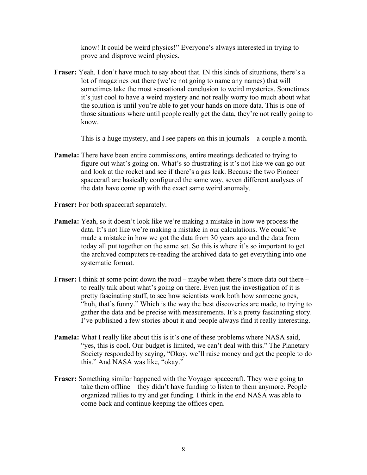know! It could be weird physics!" Everyone's always interested in trying to prove and disprove weird physics.

**Fraser:** Yeah. I don't have much to say about that. IN this kinds of situations, there's a lot of magazines out there (we're not going to name any names) that will sometimes take the most sensational conclusion to weird mysteries. Sometimes it's just cool to have a weird mystery and not really worry too much about what the solution is until you're able to get your hands on more data. This is one of those situations where until people really get the data, they're not really going to know.

This is a huge mystery, and I see papers on this in journals – a couple a month.

- **Pamela:** There have been entire commissions, entire meetings dedicated to trying to figure out what's going on. What's so frustrating is it's not like we can go out and look at the rocket and see if there's a gas leak. Because the two Pioneer spacecraft are basically configured the same way, seven different analyses of the data have come up with the exact same weird anomaly.
- **Fraser:** For both spacecraft separately.
- **Pamela:** Yeah, so it doesn't look like we're making a mistake in how we process the data. It's not like we're making a mistake in our calculations. We could've made a mistake in how we got the data from 30 years ago and the data from today all put together on the same set. So this is where it's so important to get the archived computers re-reading the archived data to get everything into one systematic format.
- **Fraser:** I think at some point down the road maybe when there's more data out there to really talk about what's going on there. Even just the investigation of it is pretty fascinating stuff, to see how scientists work both how someone goes, "huh, that's funny." Which is the way the best discoveries are made, to trying to gather the data and be precise with measurements. It's a pretty fascinating story. I've published a few stories about it and people always find it really interesting.
- **Pamela:** What I really like about this is it's one of these problems where NASA said, "yes, this is cool. Our budget is limited, we can't deal with this." The Planetary Society responded by saying, "Okay, we'll raise money and get the people to do this." And NASA was like, "okay."
- **Fraser:** Something similar happened with the Voyager spacecraft. They were going to take them offline – they didn't have funding to listen to them anymore. People organized rallies to try and get funding. I think in the end NASA was able to come back and continue keeping the offices open.